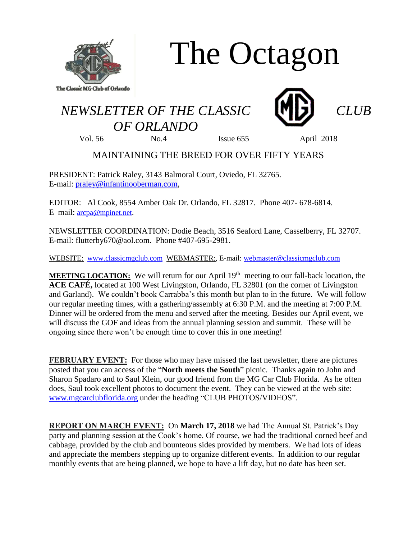

# The Octagon

## *NEWSLETTER OF THE CLASSIC CLUB OF ORLANDO*





Vol. 56 No.4 Issue 655 April 2018

### MAINTAINING THE BREED FOR OVER FIFTY YEARS

PRESIDENT: Patrick Raley, 3143 Balmoral Court, Oviedo, FL 32765. E-mail: [praley@infantinooberman.com,](mailto:praley@infantinooberman.com)

EDITOR: Al Cook, 8554 Amber Oak Dr. Orlando, FL 32817. Phone 407- 678-6814. E–mail: [arcpa@mpinet.net](mailto:arcpa@mpinet.net).

NEWSLETTER COORDINATION: Dodie Beach, 3516 Seaford Lane, Casselberry, FL 32707. E-mail: flutterby670@aol.com. Phone #407-695-2981.

WEBSITE: [www.classicmgclub.com](http://www.classicmgclub.com/) WEBMASTER:, E-mail[: webmaster@classicmgclub.com](mailto:webmaster@classicmgclub.com)

**MEETING LOCATION:** We will return for our April 19<sup>th</sup> meeting to our fall-back location, the **ACE CAFÉ,** located at 100 West Livingston, Orlando, FL 32801 (on the corner of Livingston and Garland). We couldn't book Carrabba's this month but plan to in the future. We will follow our regular meeting times, with a gathering/assembly at 6:30 P.M. and the meeting at 7:00 P.M. Dinner will be ordered from the menu and served after the meeting. Besides our April event, we will discuss the GOF and ideas from the annual planning session and summit. These will be ongoing since there won't be enough time to cover this in one meeting!

**FEBRUARY EVENT:** For those who may have missed the last newsletter, there are pictures posted that you can access of the "**North meets the South**" picnic. Thanks again to John and Sharon Spadaro and to Saul Klein, our good friend from the MG Car Club Florida. As he often does, Saul took excellent photos to document the event. They can be viewed at the web site: [www.mgcarclubflorida.org](http://www.mgcarclubflorida.org/) under the heading "CLUB PHOTOS/VIDEOS".

**REPORT ON MARCH EVENT:** On **March 17, 2018** we had The Annual St. Patrick's Day party and planning session at the Cook's home. Of course, we had the traditional corned beef and cabbage, provided by the club and bounteous sides provided by members. We had lots of ideas and appreciate the members stepping up to organize different events. In addition to our regular monthly events that are being planned, we hope to have a lift day, but no date has been set.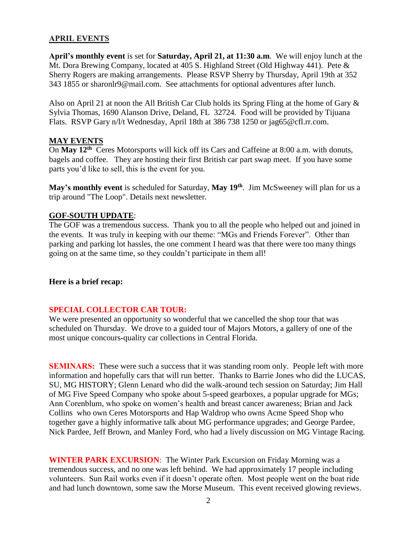#### **APRIL EVENTS**

**April's monthly event** is set for **Saturday, April 21, at 11:30 a.m**. We will enjoy lunch at the Mt. Dora Brewing Company, located at 405 S. Highland Street (Old Highway 441). Pete & Sherry Rogers are making arrangements. Please RSVP Sherry by Thursday, April 19th at 352 343 1855 or sharonlr9@mail.com. See attachments for optional adventures after lunch.

Also on April 21 at noon the All British Car Club holds its Spring Fling at the home of Gary  $\&$ Sylvia Thomas, 1690 Alanson Drive, Deland, FL 32724. Food will be provided by Tijuana Flats. RSVP Gary n/l/t Wednesday, April 18th at 386 738 1250 or jag65@cfl.rr.com.

#### **MAY EVENTS**

On **May 12th** Ceres Motorsports will kick off its Cars and Caffeine at 8:00 a.m. with donuts, bagels and coffee. They are hosting their first British car part swap meet. If you have some parts you'd like to sell, this is the event for you.

**May's monthly event** is scheduled for Saturday, **May 19th** . Jim McSweeney will plan for us a trip around "The Loop". Details next newsletter.

#### **GOF-SOUTH UPDATE**:

The GOF was a tremendous success. Thank you to all the people who helped out and joined in the events. It was truly in keeping with our theme: "MGs and Friends Forever". Other than parking and parking lot hassles, the one comment I heard was that there were too many things going on at the same time, so they couldn't participate in them all!

#### **Here is a brief recap:**

#### **SPECIAL COLLECTOR CAR TOUR:**

We were presented an opportunity so wonderful that we cancelled the shop tour that was scheduled on Thursday. We drove to a guided tour of Majors Motors, a gallery of one of the most unique concours-quality car collections in Central Florida.

**SEMINARS:** These were such a success that it was standing room only. People left with more information and hopefully cars that will run better. Thanks to Barrie Jones who did the LUCAS, SU, MG HISTORY; Glenn Lenard who did the walk-around tech session on Saturday; Jim Hall of MG Five Speed Company who spoke about 5-speed gearboxes, a popular upgrade for MGs; Ann Corenblum, who spoke on women's health and breast cancer awareness; Brian and Jack Collins who own Ceres Motorsports and Hap Waldrop who owns Acme Speed Shop who together gave a highly informative talk about MG performance upgrades; and George Pardee, Nick Pardee, Jeff Brown, and Manley Ford, who had a lively discussion on MG Vintage Racing.

**WINTER PARK EXCURSION**: The Winter Park Excursion on Friday Morning was a tremendous success, and no one was left behind. We had approximately 17 people including volunteers. Sun Rail works even if it doesn't operate often. Most people went on the boat ride and had lunch downtown, some saw the Morse Museum. This event received glowing reviews.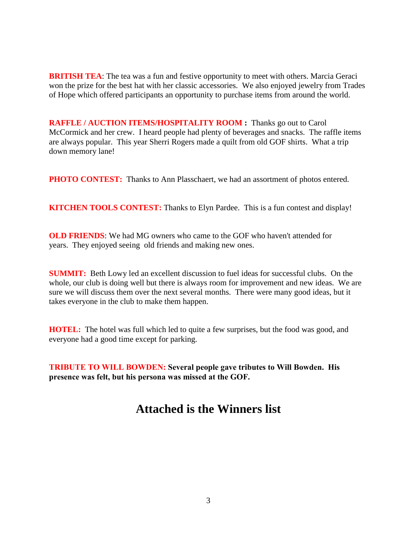**BRITISH TEA**: The tea was a fun and festive opportunity to meet with others. Marcia Geraci won the prize for the best hat with her classic accessories. We also enjoyed jewelry from Trades of Hope which offered participants an opportunity to purchase items from around the world.

**RAFFLE / AUCTION ITEMS/HOSPITALITY ROOM :** Thanks go out to Carol McCormick and her crew. I heard people had plenty of beverages and snacks. The raffle items are always popular. This year Sherri Rogers made a quilt from old GOF shirts. What a trip down memory lane!

**PHOTO CONTEST:** Thanks to Ann Plasschaert, we had an assortment of photos entered.

**KITCHEN TOOLS CONTEST:** Thanks to Elyn Pardee. This is a fun contest and display!

**OLD FRIENDS**: We had MG owners who came to the GOF who haven't attended for years. They enjoyed seeing old friends and making new ones.

**SUMMIT:** Beth Lowy led an excellent discussion to fuel ideas for successful clubs. On the whole, our club is doing well but there is always room for improvement and new ideas. We are sure we will discuss them over the next several months. There were many good ideas, but it takes everyone in the club to make them happen.

**HOTEL:** The hotel was full which led to quite a few surprises, but the food was good, and everyone had a good time except for parking.

**TRIBUTE TO WILL BOWDEN: Several people gave tributes to Will Bowden. His presence was felt, but his persona was missed at the GOF.** 

## **Attached is the Winners list**